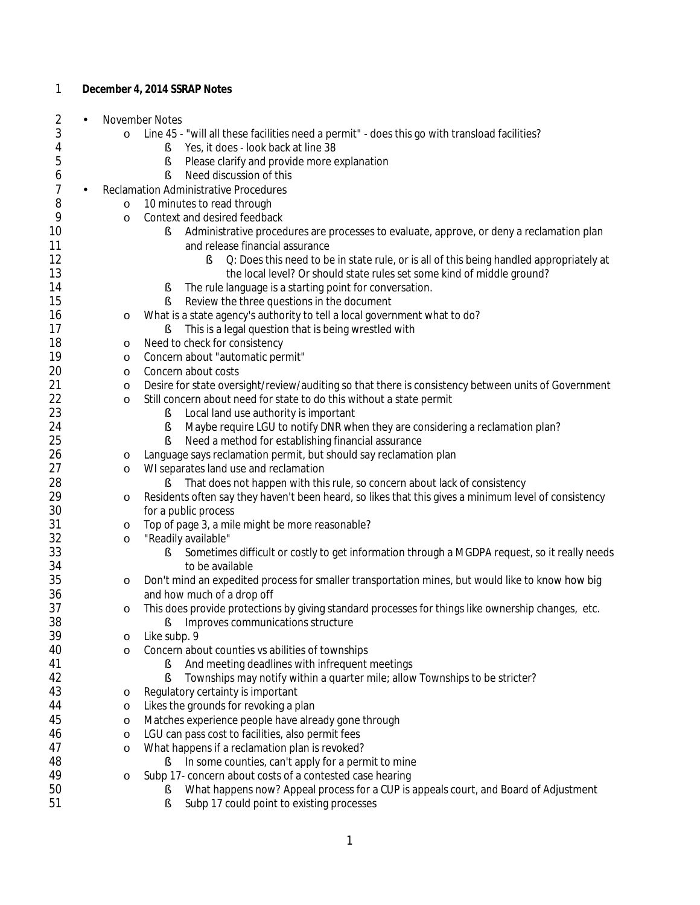| 1              |                | December 4, 2014 SSRAP Notes                                                                                                   |
|----------------|----------------|--------------------------------------------------------------------------------------------------------------------------------|
| 2              |                | November Notes                                                                                                                 |
| 3              | $\circ$        | Line 45 - "will all these facilities need a permit" - does this go with transload facilities?                                  |
| 4              |                | Yes, it does - look back at line 38<br>ş                                                                                       |
| 5              |                | Please clarify and provide more explanation<br>ş                                                                               |
| 6              |                | Need discussion of this<br>ş                                                                                                   |
| $\overline{7}$ | $\blacksquare$ | <b>Reclamation Administrative Procedures</b>                                                                                   |
| 8              | $\circ$        | 10 minutes to read through                                                                                                     |
| 9              | $\circ$        | Context and desired feedback                                                                                                   |
| 10             |                | Administrative procedures are processes to evaluate, approve, or deny a reclamation plan<br>ş                                  |
| 11             |                | and release financial assurance                                                                                                |
| 12             |                | Q: Does this need to be in state rule, or is all of this being handled appropriately at<br>ş                                   |
| 13             |                | the local level? Or should state rules set some kind of middle ground?                                                         |
| 14             |                | The rule language is a starting point for conversation.<br>ş                                                                   |
| 15             |                | Review the three questions in the document                                                                                     |
| 16             | $\circ$        | What is a state agency's authority to tell a local government what to do?                                                      |
| 17             |                | This is a legal question that is being wrestled with<br>ş                                                                      |
| 18             | $\circ$        | Need to check for consistency                                                                                                  |
| 19             | $\circ$        | Concern about "automatic permit"                                                                                               |
| 20             | $\circ$        | Concern about costs                                                                                                            |
| 21             | $\circ$        | Desire for state oversight/review/auditing so that there is consistency between units of Government                            |
| 22             | $\circ$        | Still concern about need for state to do this without a state permit                                                           |
| 23             |                | Local land use authority is important<br>ş                                                                                     |
| 24             |                | Maybe require LGU to notify DNR when they are considering a reclamation plan?<br>ş                                             |
| 25             |                | Need a method for establishing financial assurance<br>Ş                                                                        |
| 26             | $\circ$        | Language says reclamation permit, but should say reclamation plan                                                              |
| 27             | $\circ$        | WI separates land use and reclamation                                                                                          |
| 28             |                | That does not happen with this rule, so concern about lack of consistency<br>÷                                                 |
| 29             | O              | Residents often say they haven't been heard, so likes that this gives a minimum level of consistency                           |
| 30             |                | for a public process                                                                                                           |
| 31             | $\circ$        | Top of page 3, a mile might be more reasonable?                                                                                |
| 32             | $\circ$        | "Readily available"                                                                                                            |
| 33             |                | Sometimes difficult or costly to get information through a MGDPA request, so it really needs<br>ş                              |
| 34<br>35       |                | to be available                                                                                                                |
| 36             | $\circ$        | Don't mind an expedited process for smaller transportation mines, but would like to know how big<br>and how much of a drop off |
| 37             |                | This does provide protections by giving standard processes for things like ownership changes, etc.                             |
| 38             | $\circ$        | Improves communications structure<br>ş                                                                                         |
| 39             | $\circ$        | Like subp. 9                                                                                                                   |
| 40             | $\circ$        | Concern about counties vs abilities of townships                                                                               |
| 41             |                | And meeting deadlines with infrequent meetings<br>ş                                                                            |
| 42             |                | Townships may notify within a quarter mile; allow Townships to be stricter?<br>ş                                               |
| 43             | $\circ$        | Regulatory certainty is important                                                                                              |
| 44             | $\circ$        | Likes the grounds for revoking a plan                                                                                          |
| 45             | $\circ$        | Matches experience people have already gone through                                                                            |
| 46             | $\circ$        | LGU can pass cost to facilities, also permit fees                                                                              |
| 47             | $\circ$        | What happens if a reclamation plan is revoked?                                                                                 |
| 48             |                | In some counties, can't apply for a permit to mine<br>ş                                                                        |
| 49             | $\circ$        | Subp 17- concern about costs of a contested case hearing                                                                       |
| 50             |                | What happens now? Appeal process for a CUP is appeals court, and Board of Adjustment                                           |
| 51             |                | Subp 17 could point to existing processes<br>ş                                                                                 |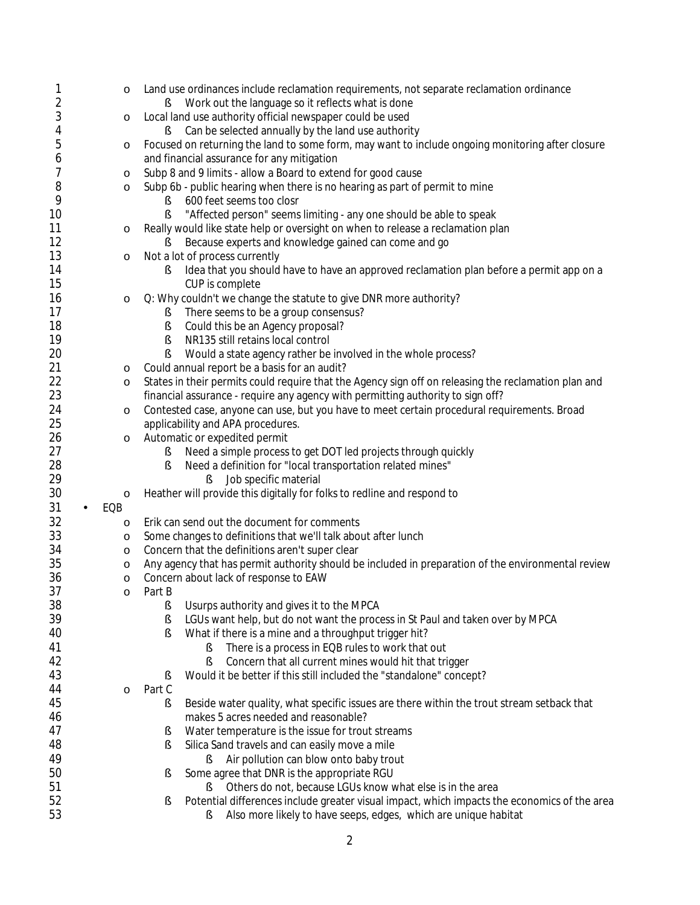| 1              | $\circ$  | Land use ordinances include reclamation requirements, not separate reclamation ordinance                                                                   |
|----------------|----------|------------------------------------------------------------------------------------------------------------------------------------------------------------|
| $\overline{2}$ |          | Work out the language so it reflects what is done                                                                                                          |
| 3              | $\circ$  | Local land use authority official newspaper could be used                                                                                                  |
| 4              |          | Can be selected annually by the land use authority                                                                                                         |
| 5              | $\circ$  | Focused on returning the land to some form, may want to include ongoing monitoring after closure                                                           |
| 6              |          | and financial assurance for any mitigation                                                                                                                 |
| 7              | $\circ$  | Subp 8 and 9 limits - allow a Board to extend for good cause                                                                                               |
| 8              | $\circ$  | Subp 6b - public hearing when there is no hearing as part of permit to mine                                                                                |
| 9<br>10        |          | 600 feet seems too closr<br>ş                                                                                                                              |
| 11             |          | "Affected person" seems limiting - any one should be able to speak<br>ş<br>Really would like state help or oversight on when to release a reclamation plan |
| 12             | $\circ$  | Because experts and knowledge gained can come and go<br>ş.                                                                                                 |
| 13             | $\circ$  | Not a lot of process currently                                                                                                                             |
| 14             |          | Idea that you should have to have an approved reclamation plan before a permit app on a<br>ş                                                               |
| 15             |          | CUP is complete                                                                                                                                            |
| 16             | $\circ$  | Q: Why couldn't we change the statute to give DNR more authority?                                                                                          |
| 17             |          | There seems to be a group consensus?<br>ş                                                                                                                  |
| 18             |          | ş<br>Could this be an Agency proposal?                                                                                                                     |
| 19             |          | ş<br>NR135 still retains local control                                                                                                                     |
| 20             |          | Would a state agency rather be involved in the whole process?<br>ş                                                                                         |
| 21             | $\circ$  | Could annual report be a basis for an audit?                                                                                                               |
| 22             | $\circ$  | States in their permits could require that the Agency sign off on releasing the reclamation plan and                                                       |
| 23             |          | financial assurance - require any agency with permitting authority to sign off?                                                                            |
| 24             | $\circ$  | Contested case, anyone can use, but you have to meet certain procedural requirements. Broad                                                                |
| 25             |          | applicability and APA procedures.                                                                                                                          |
| 26             | $\circ$  | Automatic or expedited permit                                                                                                                              |
| 27             |          | Need a simple process to get DOT led projects through quickly<br>ş                                                                                         |
| 28<br>29       |          | Need a definition for "local transportation related mines"<br>ş                                                                                            |
| 30             | $\circ$  | Job specific material<br>ş<br>Heather will provide this digitally for folks to redline and respond to                                                      |
| 31             | EQB      |                                                                                                                                                            |
| 32             | $\circ$  | Erik can send out the document for comments                                                                                                                |
| 33             | $\circ$  | Some changes to definitions that we'll talk about after lunch                                                                                              |
| 34             | $\circ$  | Concern that the definitions aren't super clear                                                                                                            |
| 35             | $\circ$  | Any agency that has permit authority should be included in preparation of the environmental review                                                         |
| 36             | $\circ$  | Concern about lack of response to EAW                                                                                                                      |
| 37             | $\Omega$ | Part B                                                                                                                                                     |
| 38             |          | Usurps authority and gives it to the MPCA<br>ş                                                                                                             |
| 39             |          | LGUs want help, but do not want the process in St Paul and taken over by MPCA<br>ş                                                                         |
| 40             |          | What if there is a mine and a throughput trigger hit?<br>ş                                                                                                 |
| 41             |          | There is a process in EQB rules to work that out<br>ş                                                                                                      |
| 42             |          | ş<br>Concern that all current mines would hit that trigger                                                                                                 |
| 43             |          | Would it be better if this still included the "standalone" concept?                                                                                        |
| 44             | $\circ$  | Part C                                                                                                                                                     |
| 45             |          | Beside water quality, what specific issues are there within the trout stream setback that<br>ş                                                             |
| 46<br>47       |          | makes 5 acres needed and reasonable?                                                                                                                       |
| 48             |          | Water temperature is the issue for trout streams<br>s<br>Silica Sand travels and can easily move a mile                                                    |
| 49             |          | s<br>Air pollution can blow onto baby trout<br>ş                                                                                                           |
| 50             |          | Some agree that DNR is the appropriate RGU<br>s                                                                                                            |
| 51             |          | Others do not, because LGUs know what else is in the area<br>ş                                                                                             |
| 52             |          | Potential differences include greater visual impact, which impacts the economics of the area<br>s                                                          |
| 53             |          | Also more likely to have seeps, edges, which are unique habitat<br>ş                                                                                       |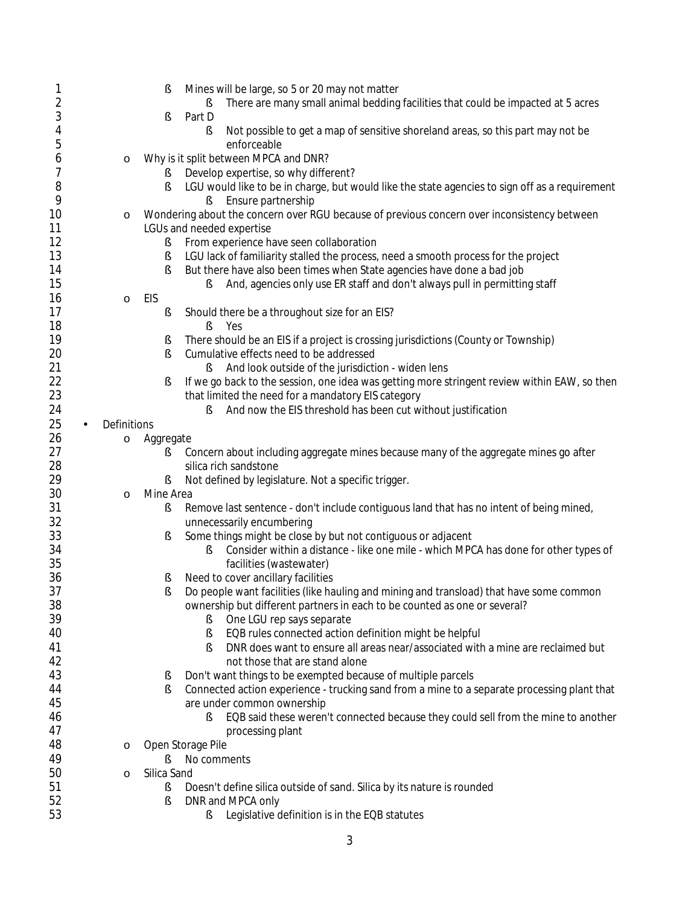| 1                       |             | Mines will be large, so 5 or 20 may not matter<br>ş                                                 |
|-------------------------|-------------|-----------------------------------------------------------------------------------------------------|
| $\overline{\mathbf{c}}$ |             | There are many small animal bedding facilities that could be impacted at 5 acres                    |
| 3                       |             | Part D<br>ş                                                                                         |
| 4                       |             | Not possible to get a map of sensitive shoreland areas, so this part may not be                     |
|                         |             | ş                                                                                                   |
| 5                       |             | enforceable                                                                                         |
| 6                       | $\circ$     | Why is it split between MPCA and DNR?                                                               |
| 7                       |             | Develop expertise, so why different?<br>š                                                           |
| 8                       |             | LGU would like to be in charge, but would like the state agencies to sign off as a requirement<br>ş |
| 9                       |             | Ensure partnership<br>ş.                                                                            |
| 10                      | $\circ$     | Wondering about the concern over RGU because of previous concern over inconsistency between         |
| 11                      |             | LGUs and needed expertise                                                                           |
| 12                      |             | From experience have seen collaboration<br>ş                                                        |
| 13                      |             | LGU lack of familiarity stalled the process, need a smooth process for the project<br>ş             |
| 14                      |             | But there have also been times when State agencies have done a bad job<br>ş                         |
| 15                      |             | And, agencies only use ER staff and don't always pull in permitting staff<br>ş                      |
| 16                      | $\circ$     | EIS                                                                                                 |
| 17                      |             | Should there be a throughout size for an EIS?                                                       |
| 18                      |             | ş                                                                                                   |
|                         |             | Yes<br>ş                                                                                            |
| 19                      |             | There should be an EIS if a project is crossing jurisdictions (County or Township)<br>ş             |
| 20                      |             | Cumulative effects need to be addressed<br>ş                                                        |
| 21                      |             | And look outside of the jurisdiction - widen lens<br>ş                                              |
| 22                      |             | If we go back to the session, one idea was getting more stringent review within EAW, so then<br>ş   |
| 23                      |             | that limited the need for a mandatory EIS category                                                  |
| 24                      |             | And now the EIS threshold has been cut without justification<br>ş                                   |
| 25<br>×,                | Definitions |                                                                                                     |
| 26                      | $\circ$     | Aggregate                                                                                           |
| 27                      |             | Concern about including aggregate mines because many of the aggregate mines go after<br>ş           |
| 28                      |             | silica rich sandstone                                                                               |
| 29                      |             | Not defined by legislature. Not a specific trigger.<br>š                                            |
| 30                      | $\circ$     | Mine Area                                                                                           |
| 31                      |             | Remove last sentence - don't include contiguous land that has no intent of being mined,<br>ş        |
| 32                      |             |                                                                                                     |
| 33                      |             | unnecessarily encumbering                                                                           |
|                         |             | Some things might be close by but not contiguous or adjacent<br>ş                                   |
| 34                      |             | Consider within a distance - like one mile - which MPCA has done for other types of<br>ş            |
| 35                      |             | facilities (wastewater)                                                                             |
| 36                      |             | Need to cover ancillary facilities<br>s                                                             |
| 37                      |             | Do people want facilities (like hauling and mining and transload) that have some common<br>S        |
| 38                      |             | ownership but different partners in each to be counted as one or several?                           |
| 39                      |             | One LGU rep says separate<br>ş                                                                      |
| 40                      |             | EQB rules connected action definition might be helpful<br>ş                                         |
| 41                      |             | DNR does want to ensure all areas near/associated with a mine are reclaimed but<br>Ş                |
| 42                      |             | not those that are stand alone                                                                      |
| 43                      |             | Don't want things to be exempted because of multiple parcels<br>š                                   |
| 44                      |             | Connected action experience - trucking sand from a mine to a separate processing plant that<br>ş    |
| 45                      |             | are under common ownership                                                                          |
| 46                      |             | EQB said these weren't connected because they could sell from the mine to another<br>ş              |
| 47                      |             | processing plant                                                                                    |
|                         |             |                                                                                                     |
| 48                      | $\circ$     | Open Storage Pile                                                                                   |
| 49                      |             | No comments<br>ε                                                                                    |
| 50                      | $\circ$     | Silica Sand                                                                                         |
| 51                      |             | Doesn't define silica outside of sand. Silica by its nature is rounded<br>ş                         |
| 52                      |             | DNR and MPCA only<br>ş                                                                              |
| 53                      |             | Legislative definition is in the EQB statutes<br>ş                                                  |